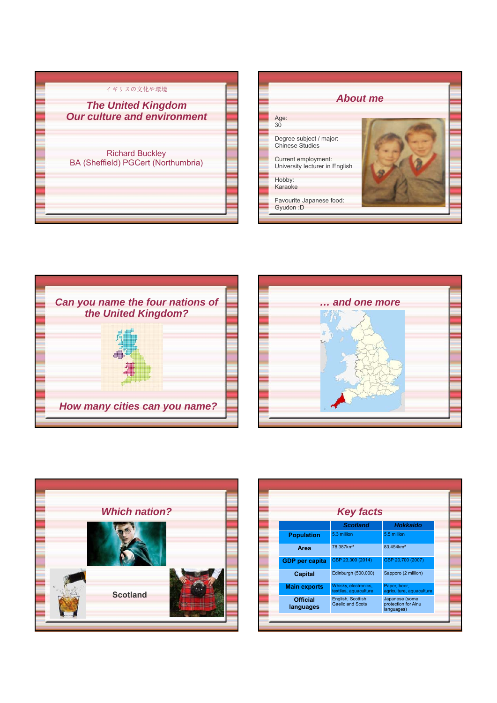| イギリスの文化や環境                                                      |  |
|-----------------------------------------------------------------|--|
| <b>The United Kingdom</b><br><b>Our culture and environment</b> |  |
| <b>Richard Buckley</b><br>BA (Sheffield) PGCert (Northumbria)   |  |









|                              | <b>Key facts</b>                              |                                                     |
|------------------------------|-----------------------------------------------|-----------------------------------------------------|
|                              | <b>Scotland</b>                               | Hokkaido                                            |
| <b>Population</b>            | 5.3 million                                   | 5.5 million                                         |
| Area                         | 78,387km <sup>2</sup>                         | 83,454km <sup>2</sup>                               |
| <b>GDP</b> per capita        | GBP 23,300 (2014)                             | GBP 20,700 (2007)                                   |
| <b>Capital</b>               | Edinburgh (500,000)                           | Sapporo (2 million)                                 |
| <b>Main exports</b>          | Whisky, electronics,<br>textiles, aquaculture | Paper, beer,<br>agriculture, aquaculture            |
| <b>Official</b><br>languages | English, Scottish<br><b>Gaelic and Scots</b>  | Japanese (some<br>protection for Ainu<br>languages) |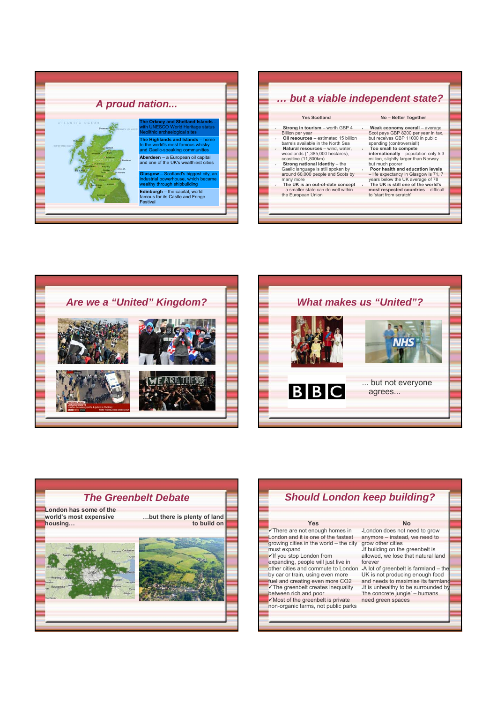

|                                                                                                                                                                                                                                                                                                                                                                                                                                                                                                                              | but a viable independent state?                                                                                                                                                                                                                                                                                                                                                                                                                                                                                                        |
|------------------------------------------------------------------------------------------------------------------------------------------------------------------------------------------------------------------------------------------------------------------------------------------------------------------------------------------------------------------------------------------------------------------------------------------------------------------------------------------------------------------------------|----------------------------------------------------------------------------------------------------------------------------------------------------------------------------------------------------------------------------------------------------------------------------------------------------------------------------------------------------------------------------------------------------------------------------------------------------------------------------------------------------------------------------------------|
| <b>Yes Scotland</b>                                                                                                                                                                                                                                                                                                                                                                                                                                                                                                          | No - Better Together                                                                                                                                                                                                                                                                                                                                                                                                                                                                                                                   |
| Strong in tourism - worth GBP 4<br>$\epsilon$<br><b>Billion per year</b><br>Oil resources - estimated 15 billion<br>$\mathcal{L}$<br>barrels available in the North Sea<br>Natural resources - wind, water,<br>$\epsilon$<br>woodlands (1,385,000 hectares),<br>coastline (11,800km)<br>Strong national identity - the<br>v.<br>Gaelic language is still spoken by<br>around 60,000 people and Scots by<br>many more<br>The UK is an out-of-date concept<br>v.<br>- a smaller state can do well within<br>the European Union | Weak economy overall - average<br>Scot pays GBP 8200 per year in tax,<br>but receives GBP 11000 in public<br>spending (controversial!)<br>Too small to compete<br>$\mathbf{x}$<br>internationally - population only 5.3<br>million, slightly larger than Norway<br>but much poorer<br>Poor health and education levels<br>$\sim$<br>- life expectancy in Glasgow is 71, 7<br>years below the UK average of 78<br>The UK is still one of the world's<br>$\mathbf{x}$<br>most respected countries - difficult<br>to 'start from scratch' |







## *Should London keep building?* **Yes** There are not enough homes in London and it is one of the fastest growing cities in the world – the city must expand<br>✓ If you stop London from expanding, people will just live in other cities and commute to London by car or train, using even more A lot of greenbelt is farmland – the UK is not producing enough food fuel and creating even more CO2 The greenbelt creates inequality between rich and poor **No** London does not need to grow anymore – instead, we need to grow other cities If building on the greenbelt is allowed, we lose that natural land forever and needs to maximise its farmland

 $\sqrt{M}$ ost of the greenbelt is private

non-organic farms, not public parks It is unhealthy to be surrounded by the concrete jungle' – humans need green spaces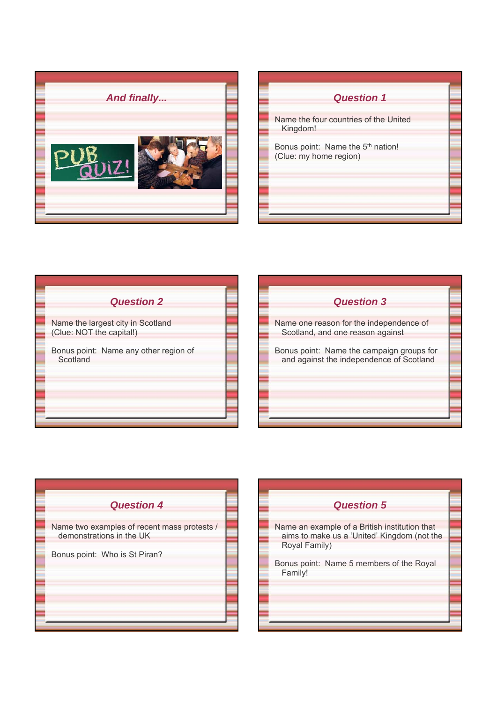

| <b>Question 1</b>                                           |  |
|-------------------------------------------------------------|--|
| Name the four countries of the United<br>Kingdom!           |  |
| Bonus point: Name the 5th nation!<br>(Clue: my home region) |  |
|                                                             |  |
|                                                             |  |



| <b>Question 3</b>                                                                     |  |
|---------------------------------------------------------------------------------------|--|
| Name one reason for the independence of<br>Scotland, and one reason against           |  |
| Bonus point: Name the campaign groups for<br>and against the independence of Scotland |  |
|                                                                                       |  |